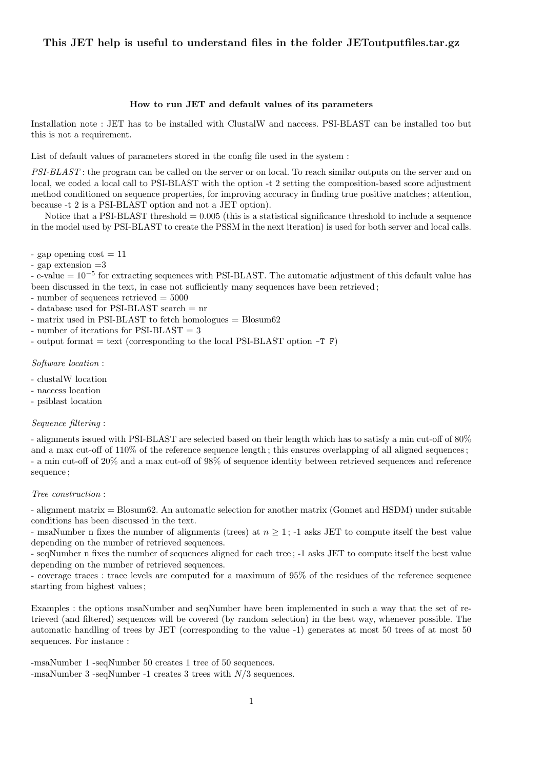# This JET help is useful to understand files in the folder JEToutputfiles.tar.gz

# How to run JET and default values of its parameters

Installation note : JET has to be installed with ClustalW and naccess. PSI-BLAST can be installed too but this is not a requirement.

List of default values of parameters stored in the config file used in the system :

PSI-BLAST : the program can be called on the server or on local. To reach similar outputs on the server and on local, we coded a local call to PSI-BLAST with the option -t 2 setting the composition-based score adjustment method conditioned on sequence properties, for improving accuracy in finding true positive matches ; attention, because -t 2 is a PSI-BLAST option and not a JET option).

Notice that a PSI-BLAST threshold = 0.005 (this is a statistical significance threshold to include a sequence in the model used by PSI-BLAST to create the PSSM in the next iteration) is used for both server and local calls.

- gap opening  $\text{cost} = 11$ 

- gap extension =3

- e-value = 10−<sup>5</sup> for extracting sequences with PSI-BLAST. The automatic adjustment of this default value has been discussed in the text, in case not sufficiently many sequences have been retrieved ;

- number of sequences retrieved  $= 5000$ 

- database used for PSI-BLAST search = nr

- matrix used in PSI-BLAST to fetch homologues = Blosum62

- number of iterations for PSI-BLAST = 3

- output format  $=$  text (corresponding to the local PSI-BLAST option  $-T \ F$ )

# Software location :

- clustalW location
- naccess location
- psiblast location

## Sequence filtering :

- alignments issued with PSI-BLAST are selected based on their length which has to satisfy a min cut-off of 80% and a max cut-off of 110% of the reference sequence length; this ensures overlapping of all aligned sequences; - a min cut-off of 20% and a max cut-off of 98% of sequence identity between retrieved sequences and reference sequence ;

## Tree construction :

- alignment matrix = Blosum62. An automatic selection for another matrix (Gonnet and HSDM) under suitable conditions has been discussed in the text.

- msaNumber n fixes the number of alignments (trees) at  $n \geq 1$ ; -1 asks JET to compute itself the best value depending on the number of retrieved sequences.

- seqNumber n fixes the number of sequences aligned for each tree ; -1 asks JET to compute itself the best value depending on the number of retrieved sequences.

- coverage traces : trace levels are computed for a maximum of 95% of the residues of the reference sequence starting from highest values ;

Examples : the options msaNumber and seqNumber have been implemented in such a way that the set of retrieved (and filtered) sequences will be covered (by random selection) in the best way, whenever possible. The automatic handling of trees by JET (corresponding to the value -1) generates at most 50 trees of at most 50 sequences. For instance :

-msaNumber 1 -seqNumber 50 creates 1 tree of 50 sequences. -msaNumber 3 -seqNumber -1 creates 3 trees with N/3 sequences.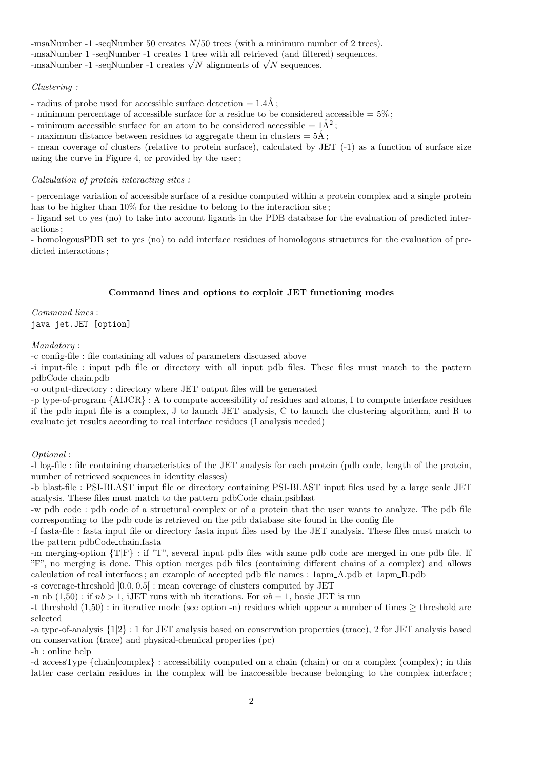-msaNumber -1 -seqNumber 50 creates N/50 trees (with a minimum number of 2 trees). -msaNumber 1 -seqNumber -1 creates 1 tree with all retrieved (and filtered) sequences. -msaNumber 1 -seqNumber -1 creates 1 tree with all retrieved (and filter-<br>-msaNumber -1 -seqNumber -1 creates  $\sqrt{N}$  alignments of  $\sqrt{N}$  sequences.

# Clustering :

- radius of probe used for accessible surface detection  $= 1.4\text{\AA}$ ;

- minimum percentage of accessible surface for a residue to be considered accessible  $= 5\%$ ;

- minimum accessible surface for an atom to be considered accessible  $= 1\AA^2$ ;

- maximum distance between residues to aggregate them in clusters  $= 5\text{\AA}$ ;

- mean coverage of clusters (relative to protein surface), calculated by JET (-1) as a function of surface size using the curve in Figure 4, or provided by the user ;

### Calculation of protein interacting sites :

- percentage variation of accessible surface of a residue computed within a protein complex and a single protein has to be higher than  $10\%$  for the residue to belong to the interaction site;

- ligand set to yes (no) to take into account ligands in the PDB database for the evaluation of predicted interactions ;

- homologousPDB set to yes (no) to add interface residues of homologous structures for the evaluation of predicted interactions ;

# Command lines and options to exploit JET functioning modes

Command lines : java jet.JET [option]

# Mandatory :

-c config-file : file containing all values of parameters discussed above

-i input-file : input pdb file or directory with all input pdb files. These files must match to the pattern pdbCode chain.pdb

-o output-directory : directory where JET output files will be generated

-p type-of-program {AIJCR} : A to compute accessibility of residues and atoms, I to compute interface residues if the pdb input file is a complex, J to launch JET analysis, C to launch the clustering algorithm, and R to evaluate jet results according to real interface residues (I analysis needed)

## Optional :

-l log-file : file containing characteristics of the JET analysis for each protein (pdb code, length of the protein, number of retrieved sequences in identity classes)

-b blast-file : PSI-BLAST input file or directory containing PSI-BLAST input files used by a large scale JET analysis. These files must match to the pattern pdbCode chain.psiblast

-w pdb code : pdb code of a structural complex or of a protein that the user wants to analyze. The pdb file corresponding to the pdb code is retrieved on the pdb database site found in the config file

-f fasta-file : fasta input file or directory fasta input files used by the JET analysis. These files must match to the pattern pdbCode chain.fasta

-m merging-option {T|F} : if "T", several input pdb files with same pdb code are merged in one pdb file. If "F", no merging is done. This option merges pdb files (containing different chains of a complex) and allows calculation of real interfaces ; an example of accepted pdb file names : 1apm A.pdb et 1apm B.pdb

-s coverage-threshold ]0.0, 0.5[ : mean coverage of clusters computed by JET

-n nb  $(1,50)$ : if  $nb > 1$ , iJET runs with nb iterations. For  $nb = 1$ , basic JET is run

-t threshold  $(1,50)$ : in iterative mode (see option -n) residues which appear a number of times  $\geq$  threshold are selected

-a type-of-analysis {1|2} : 1 for JET analysis based on conservation properties (trace), 2 for JET analysis based on conservation (trace) and physical-chemical properties (pc)

-h : online help

-d accessType {chain|complex} : accessibility computed on a chain (chain) or on a complex (complex) ; in this latter case certain residues in the complex will be inaccessible because belonging to the complex interface ;